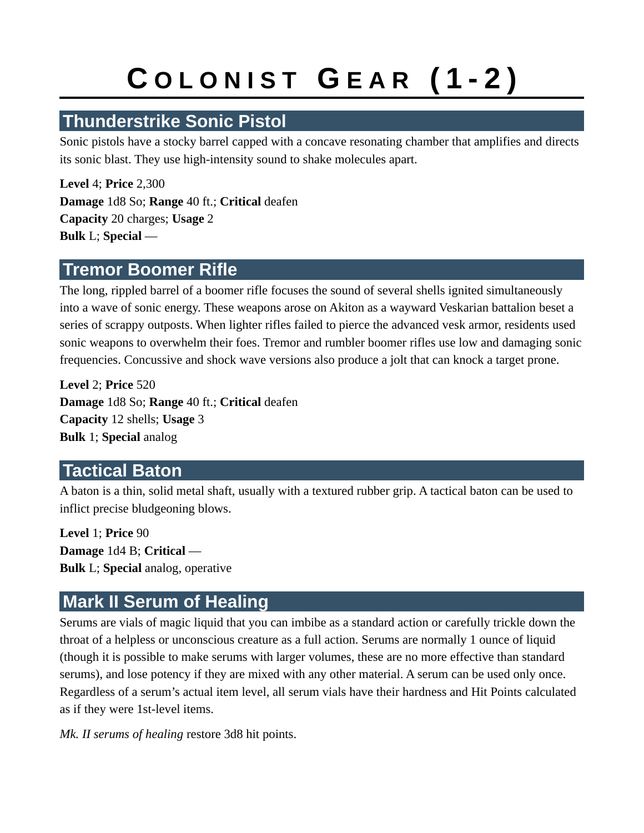## **C O L O N I S T G E A R ( 1 - 2 )**

## **Thunderstrike Sonic Pistol**

Sonic pistols have a stocky barrel capped with a concave resonating chamber that amplifies and directs its sonic blast. They use high-intensity sound to shake molecules apart.

**Level** 4; **Price** 2,300 **Damage** 1d8 So; **Range** 40 ft.; **Critical** deafen **Capacity** 20 charges; **Usage** 2 **Bulk** L; **Special** —

### **Tremor Boomer Rifle**

The long, rippled barrel of a boomer rifle focuses the sound of several shells ignited simultaneously into a wave of sonic energy. These weapons arose on Akiton as a wayward Veskarian battalion beset a series of scrappy outposts. When lighter rifles failed to pierce the advanced vesk armor, residents used sonic weapons to overwhelm their foes. Tremor and rumbler boomer rifles use low and damaging sonic frequencies. Concussive and shock wave versions also produce a jolt that can knock a target prone.

**Level** 2; **Price** 520 **Damage** 1d8 So; **Range** 40 ft.; **Critical** deafen **Capacity** 12 shells; **Usage** 3 **Bulk** 1; **Special** analog

### **Tactical Baton**

A baton is a thin, solid metal shaft, usually with a textured rubber grip. A tactical baton can be used to inflict precise bludgeoning blows.

**Level** 1; **Price** 90 **Damage** 1d4 B; **Critical** — **Bulk** L; **Special** analog, operative

## **Mark II Serum of Healing**

Serums are vials of magic liquid that you can imbibe as a standard action or carefully trickle down the throat of a helpless or unconscious creature as a full action. Serums are normally 1 ounce of liquid (though it is possible to make serums with larger volumes, these are no more effective than standard serums), and lose potency if they are mixed with any other material. A serum can be used only once. Regardless of a serum's actual item level, all serum vials have their hardness and Hit Points calculated as if they were 1st-level items.

*Mk. II serums of healing* restore 3d8 hit points.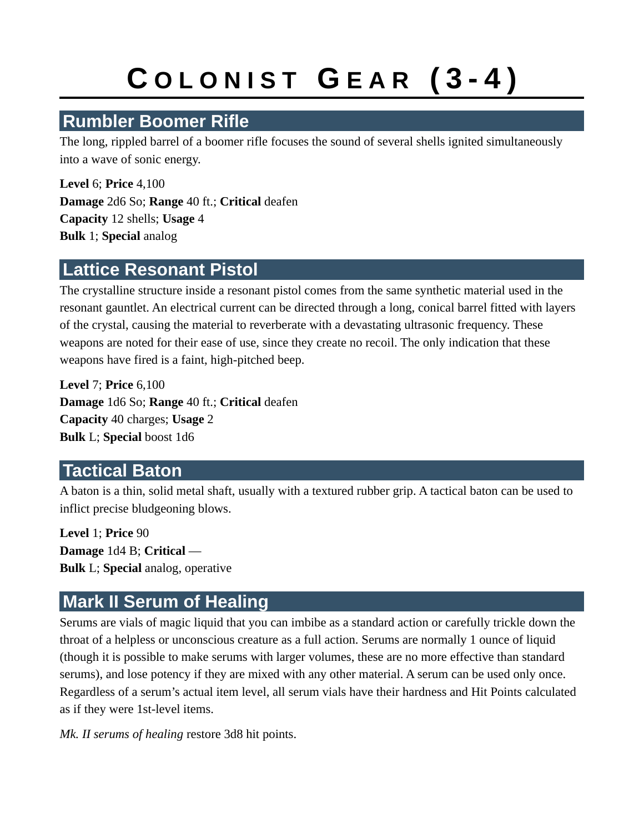## **C O L O N I S T G E A R ( 3 - 4 )**

## **Rumbler Boomer Rifle**

The long, rippled barrel of a boomer rifle focuses the sound of several shells ignited simultaneously into a wave of sonic energy.

**Level** 6; **Price** 4,100 **Damage** 2d6 So; **Range** 40 ft.; **Critical** deafen **Capacity** 12 shells; **Usage** 4 **Bulk** 1; **Special** analog

### **Lattice Resonant Pistol**

The crystalline structure inside a resonant pistol comes from the same synthetic material used in the resonant gauntlet. An electrical current can be directed through a long, conical barrel fitted with layers of the crystal, causing the material to reverberate with a devastating ultrasonic frequency. These weapons are noted for their ease of use, since they create no recoil. The only indication that these weapons have fired is a faint, high-pitched beep.

**Level** 7; **Price** 6,100 **Damage** 1d6 So; **Range** 40 ft.; **Critical** deafen **Capacity** 40 charges; **Usage** 2 **Bulk** L; **Special** boost 1d6

### **Tactical Baton**

A baton is a thin, solid metal shaft, usually with a textured rubber grip. A tactical baton can be used to inflict precise bludgeoning blows.

**Level** 1; **Price** 90 **Damage** 1d4 B; **Critical** — **Bulk** L; **Special** analog, operative

## **Mark II Serum of Healing**

Serums are vials of magic liquid that you can imbibe as a standard action or carefully trickle down the throat of a helpless or unconscious creature as a full action. Serums are normally 1 ounce of liquid (though it is possible to make serums with larger volumes, these are no more effective than standard serums), and lose potency if they are mixed with any other material. A serum can be used only once. Regardless of a serum's actual item level, all serum vials have their hardness and Hit Points calculated as if they were 1st-level items.

*Mk. II serums of healing* restore 3d8 hit points.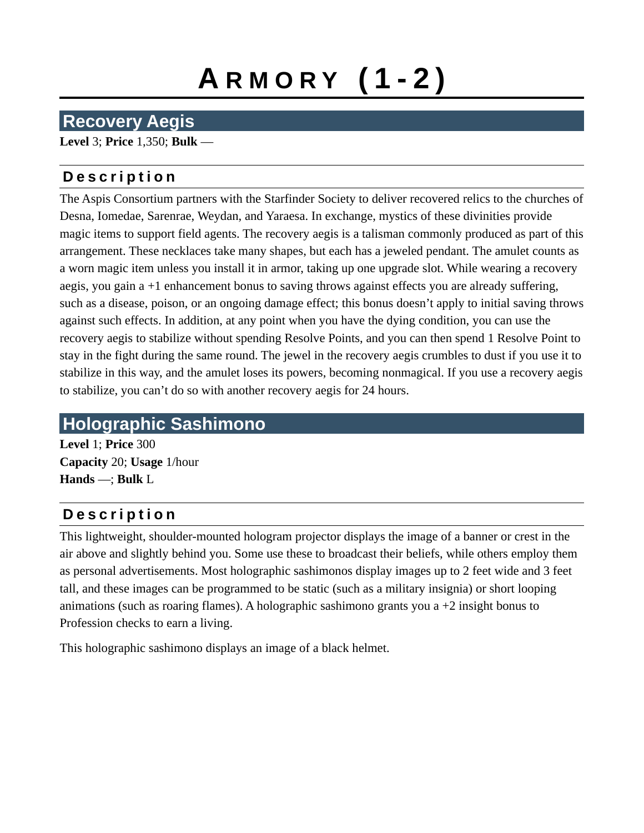# **A R M O R Y ( 1 - 2 )**

## **Recovery Aegis**

**Level** 3; **Price** 1,350; **Bulk** —

#### **D e s c r i p t i o n**

The Aspis Consortium partners with the Starfinder Society to deliver recovered relics to the churches of Desna, Iomedae, Sarenrae, Weydan, and Yaraesa. In exchange, mystics of these divinities provide magic items to support field agents. The recovery aegis is a talisman commonly produced as part of this arrangement. These necklaces take many shapes, but each has a jeweled pendant. The amulet counts as a worn magic item unless you install it in armor, taking up one upgrade slot. While wearing a recovery aegis, you gain a +1 enhancement bonus to saving throws against effects you are already suffering, such as a disease, poison, or an ongoing damage effect; this bonus doesn't apply to initial saving throws against such effects. In addition, at any point when you have the dying condition, you can use the recovery aegis to stabilize without spending Resolve Points, and you can then spend 1 Resolve Point to stay in the fight during the same round. The jewel in the recovery aegis crumbles to dust if you use it to stabilize in this way, and the amulet loses its powers, becoming nonmagical. If you use a recovery aegis to stabilize, you can't do so with another recovery aegis for 24 hours.

## **Holographic Sashimono**

**Level** 1; **Price** 300 **Capacity** 20; **Usage** 1/hour **Hands** —; **Bulk** L

### **D e s c r i p t i o n**

This lightweight, shoulder-mounted hologram projector displays the image of a banner or crest in the air above and slightly behind you. Some use these to broadcast their beliefs, while others employ them as personal advertisements. Most holographic sashimonos display images up to 2 feet wide and 3 feet tall, and these images can be programmed to be static (such as a military insignia) or short looping animations (such as roaring flames). A holographic sashimono grants you a  $+2$  insight bonus to Profession checks to earn a living.

This holographic sashimono displays an image of a black helmet.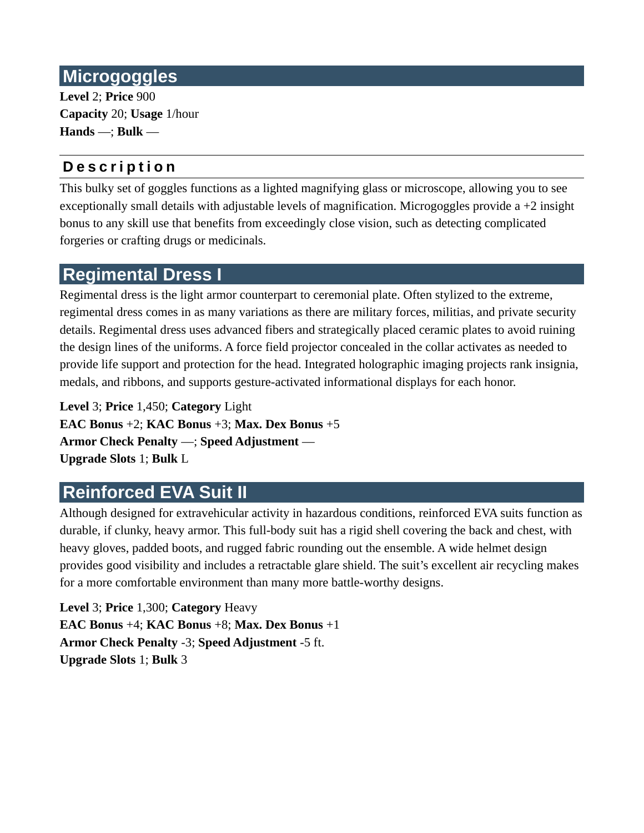## **Microgoggles**

**Level** 2; **Price** 900 **Capacity** 20; **Usage** 1/hour **Hands** —; **Bulk** —

#### **D e s c r i p t i o n**

This bulky set of goggles functions as a lighted magnifying glass or microscope, allowing you to see exceptionally small details with adjustable levels of magnification. Microgoggles provide a +2 insight bonus to any skill use that benefits from exceedingly close vision, such as detecting complicated forgeries or crafting drugs or medicinals.

### **Regimental Dress I**

Regimental dress is the light armor counterpart to ceremonial plate. Often stylized to the extreme, regimental dress comes in as many variations as there are military forces, militias, and private security details. Regimental dress uses advanced fibers and strategically placed ceramic plates to avoid ruining the design lines of the uniforms. A force field projector concealed in the collar activates as needed to provide life support and protection for the head. Integrated holographic imaging projects rank insignia, medals, and ribbons, and supports gesture-activated informational displays for each honor.

**Level** 3; **Price** 1,450; **Category** Light **EAC Bonus** +2; **KAC Bonus** +3; **Max. Dex Bonus** +5 **Armor Check Penalty** —; **Speed Adjustment** — **Upgrade Slots** 1; **Bulk** L

## **Reinforced EVA Suit II**

Although designed for extravehicular activity in hazardous conditions, reinforced EVA suits function as durable, if clunky, heavy armor. This full-body suit has a rigid shell covering the back and chest, with heavy gloves, padded boots, and rugged fabric rounding out the ensemble. A wide helmet design provides good visibility and includes a retractable glare shield. The suit's excellent air recycling makes for a more comfortable environment than many more battle-worthy designs.

**Level** 3; **Price** 1,300; **Category** Heavy **EAC Bonus** +4; **KAC Bonus** +8; **Max. Dex Bonus** +1 **Armor Check Penalty** -3; **Speed Adjustment** -5 ft. **Upgrade Slots** 1; **Bulk** 3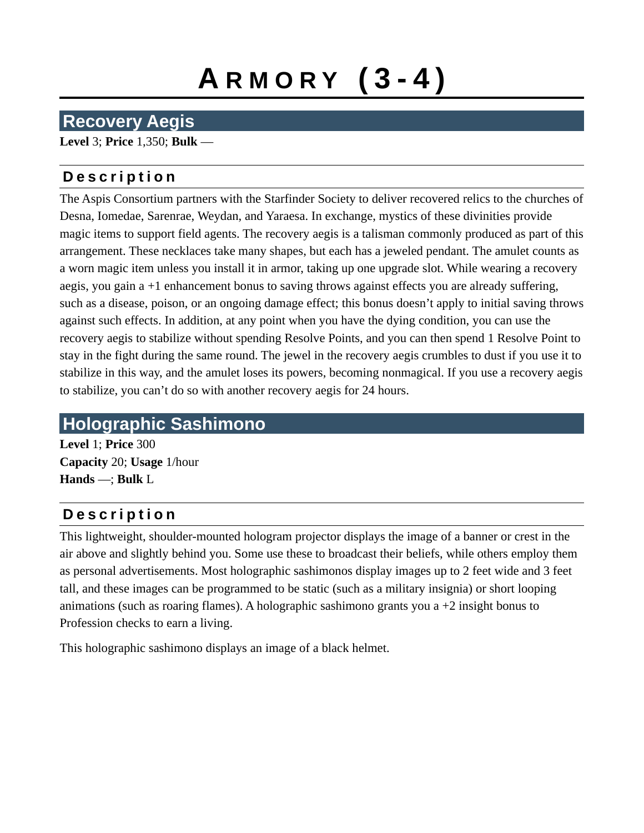# **A R M O R Y ( 3 - 4 )**

## **Recovery Aegis**

**Level** 3; **Price** 1,350; **Bulk** —

#### **D e s c r i p t i o n**

The Aspis Consortium partners with the Starfinder Society to deliver recovered relics to the churches of Desna, Iomedae, Sarenrae, Weydan, and Yaraesa. In exchange, mystics of these divinities provide magic items to support field agents. The recovery aegis is a talisman commonly produced as part of this arrangement. These necklaces take many shapes, but each has a jeweled pendant. The amulet counts as a worn magic item unless you install it in armor, taking up one upgrade slot. While wearing a recovery aegis, you gain a +1 enhancement bonus to saving throws against effects you are already suffering, such as a disease, poison, or an ongoing damage effect; this bonus doesn't apply to initial saving throws against such effects. In addition, at any point when you have the dying condition, you can use the recovery aegis to stabilize without spending Resolve Points, and you can then spend 1 Resolve Point to stay in the fight during the same round. The jewel in the recovery aegis crumbles to dust if you use it to stabilize in this way, and the amulet loses its powers, becoming nonmagical. If you use a recovery aegis to stabilize, you can't do so with another recovery aegis for 24 hours.

## **Holographic Sashimono**

**Level** 1; **Price** 300 **Capacity** 20; **Usage** 1/hour **Hands** —; **Bulk** L

#### **D e s c r i p t i o n**

This lightweight, shoulder-mounted hologram projector displays the image of a banner or crest in the air above and slightly behind you. Some use these to broadcast their beliefs, while others employ them as personal advertisements. Most holographic sashimonos display images up to 2 feet wide and 3 feet tall, and these images can be programmed to be static (such as a military insignia) or short looping animations (such as roaring flames). A holographic sashimono grants you a  $+2$  insight bonus to Profession checks to earn a living.

This holographic sashimono displays an image of a black helmet.